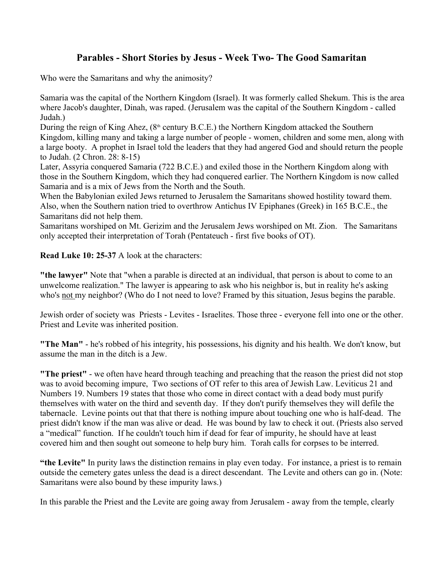## **Parables - Short Stories by Jesus - Week Two- The Good Samaritan**

Who were the Samaritans and why the animosity?

Samaria was the capital of the Northern Kingdom (Israel). It was formerly called Shekum. This is the area where Jacob's daughter, Dinah, was raped. (Jerusalem was the capital of the Southern Kingdom - called Judah.)

During the reign of King Ahez,  $(8<sup>th</sup>$  century B.C.E.) the Northern Kingdom attacked the Southern Kingdom, killing many and taking a large number of people - women, children and some men, along with a large booty. A prophet in Israel told the leaders that they had angered God and should return the people to Judah. (2 Chron. 28: 8-15)

Later, Assyria conquered Samaria (722 B.C.E.) and exiled those in the Northern Kingdom along with those in the Southern Kingdom, which they had conquered earlier. The Northern Kingdom is now called Samaria and is a mix of Jews from the North and the South.

When the Babylonian exiled Jews returned to Jerusalem the Samaritans showed hostility toward them. Also, when the Southern nation tried to overthrow Antichus IV Epiphanes (Greek) in 165 B.C.E., the Samaritans did not help them.

Samaritans worshiped on Mt. Gerizim and the Jerusalem Jews worshiped on Mt. Zion. The Samaritans only accepted their interpretation of Torah (Pentateuch - first five books of OT).

**Read Luke 10: 25-37** A look at the characters:

**"the lawyer"** Note that "when a parable is directed at an individual, that person is about to come to an unwelcome realization." The lawyer is appearing to ask who his neighbor is, but in reality he's asking who's not my neighbor? (Who do I not need to love? Framed by this situation, Jesus begins the parable.

Jewish order of society was Priests - Levites - Israelites. Those three - everyone fell into one or the other. Priest and Levite was inherited position.

**"The Man"** - he's robbed of his integrity, his possessions, his dignity and his health. We don't know, but assume the man in the ditch is a Jew.

**"The priest"** - we often have heard through teaching and preaching that the reason the priest did not stop was to avoid becoming impure, Two sections of OT refer to this area of Jewish Law. Leviticus 21 and Numbers 19. Numbers 19 states that those who come in direct contact with a dead body must purify themselves with water on the third and seventh day. If they don't purify themselves they will defile the tabernacle. Levine points out that that there is nothing impure about touching one who is half-dead. The priest didn't know if the man was alive or dead. He was bound by law to check it out. (Priests also served a "medical" function. If he couldn't touch him if dead for fear of impurity, he should have at least covered him and then sought out someone to help bury him. Torah calls for corpses to be interred.

**"the Levite"** In purity laws the distinction remains in play even today. For instance, a priest is to remain outside the cemetery gates unless the dead is a direct descendant. The Levite and others can go in. (Note: Samaritans were also bound by these impurity laws.)

In this parable the Priest and the Levite are going away from Jerusalem - away from the temple, clearly